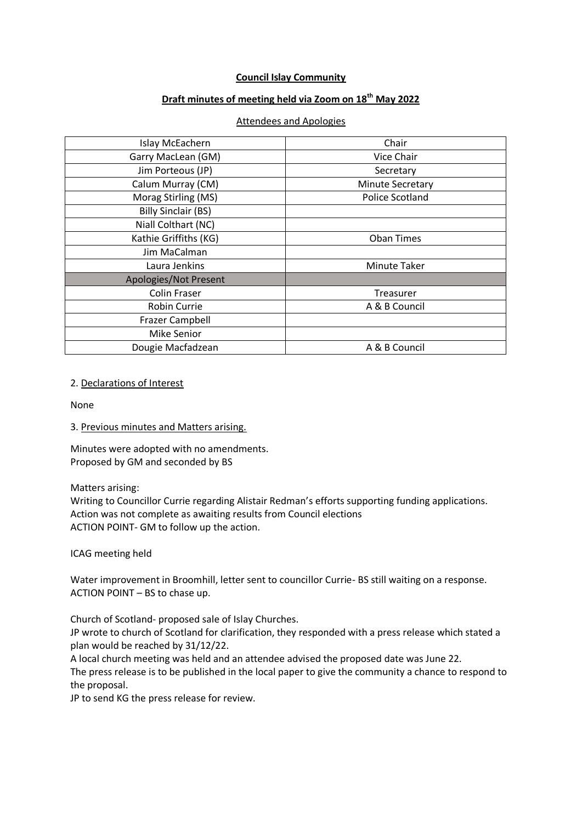### **Council Islay Community**

# **Draft minutes of meeting held via Zoom on 18th May 2022**

#### Attendees and Apologies

| Islay McEachern            | Chair                   |
|----------------------------|-------------------------|
| Garry MacLean (GM)         | Vice Chair              |
| Jim Porteous (JP)          | Secretary               |
| Calum Murray (CM)          | <b>Minute Secretary</b> |
| Morag Stirling (MS)        | <b>Police Scotland</b>  |
| <b>Billy Sinclair (BS)</b> |                         |
| Niall Colthart (NC)        |                         |
| Kathie Griffiths (KG)      | <b>Oban Times</b>       |
| Jim MaCalman               |                         |
| Laura Jenkins              | <b>Minute Taker</b>     |
| Apologies/Not Present      |                         |
| <b>Colin Fraser</b>        | Treasurer               |
| Robin Currie               | A & B Council           |
| <b>Frazer Campbell</b>     |                         |
| <b>Mike Senior</b>         |                         |
| Dougie Macfadzean          | A & B Council           |

### 2. Declarations of Interest

None

### 3. Previous minutes and Matters arising.

Minutes were adopted with no amendments. Proposed by GM and seconded by BS

#### Matters arising:

Writing to Councillor Currie regarding Alistair Redman's efforts supporting funding applications. Action was not complete as awaiting results from Council elections ACTION POINT- GM to follow up the action.

ICAG meeting held

Water improvement in Broomhill, letter sent to councillor Currie- BS still waiting on a response. ACTION POINT – BS to chase up.

Church of Scotland- proposed sale of Islay Churches.

JP wrote to church of Scotland for clarification, they responded with a press release which stated a plan would be reached by 31/12/22.

A local church meeting was held and an attendee advised the proposed date was June 22.

The press release is to be published in the local paper to give the community a chance to respond to the proposal.

JP to send KG the press release for review.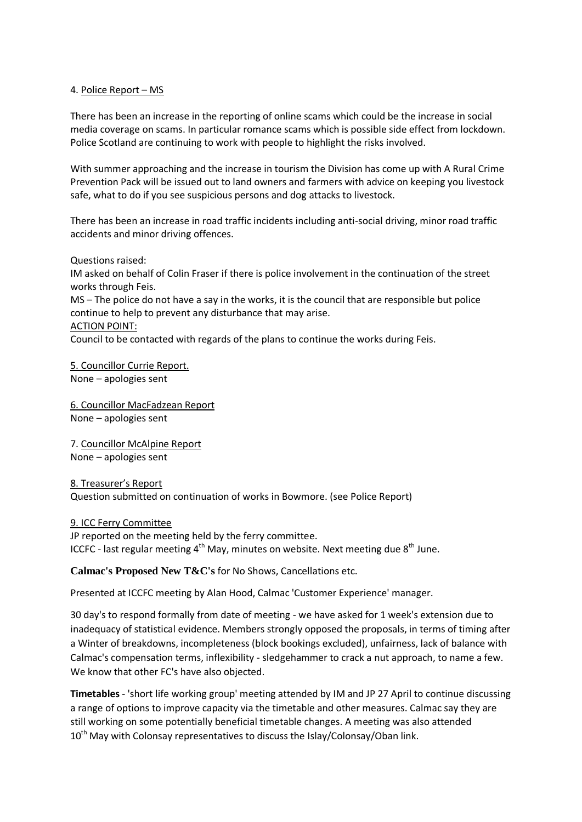### 4. Police Report – MS

There has been an increase in the reporting of online scams which could be the increase in social media coverage on scams. In particular romance scams which is possible side effect from lockdown. Police Scotland are continuing to work with people to highlight the risks involved.

With summer approaching and the increase in tourism the Division has come up with A Rural Crime Prevention Pack will be issued out to land owners and farmers with advice on keeping you livestock safe, what to do if you see suspicious persons and dog attacks to livestock.

There has been an increase in road traffic incidents including anti-social driving, minor road traffic accidents and minor driving offences.

Questions raised:

IM asked on behalf of Colin Fraser if there is police involvement in the continuation of the street works through Feis.

MS – The police do not have a say in the works, it is the council that are responsible but police continue to help to prevent any disturbance that may arise.

### ACTION POINT:

Council to be contacted with regards of the plans to continue the works during Feis.

5. Councillor Currie Report. None – apologies sent

6. Councillor MacFadzean Report None – apologies sent

7. Councillor McAlpine Report None – apologies sent

8. Treasurer's Report Question submitted on continuation of works in Bowmore. (see Police Report)

9. ICC Ferry Committee JP reported on the meeting held by the ferry committee. ICCFC - last regular meeting  $4<sup>th</sup>$  May, minutes on website. Next meeting due  $8<sup>th</sup>$  June.

## **Calmac's Proposed New T&C's** for No Shows, Cancellations etc.

Presented at ICCFC meeting by Alan Hood, Calmac 'Customer Experience' manager.

30 day's to respond formally from date of meeting - we have asked for 1 week's extension due to inadequacy of statistical evidence. Members strongly opposed the proposals, in terms of timing after a Winter of breakdowns, incompleteness (block bookings excluded), unfairness, lack of balance with Calmac's compensation terms, inflexibility - sledgehammer to crack a nut approach, to name a few. We know that other FC's have also objected.

**Timetables** - 'short life working group' meeting attended by IM and JP 27 April to continue discussing a range of options to improve capacity via the timetable and other measures. Calmac say they are still working on some potentially beneficial timetable changes. A meeting was also attended  $10<sup>th</sup>$  May with Colonsay representatives to discuss the Islay/Colonsay/Oban link.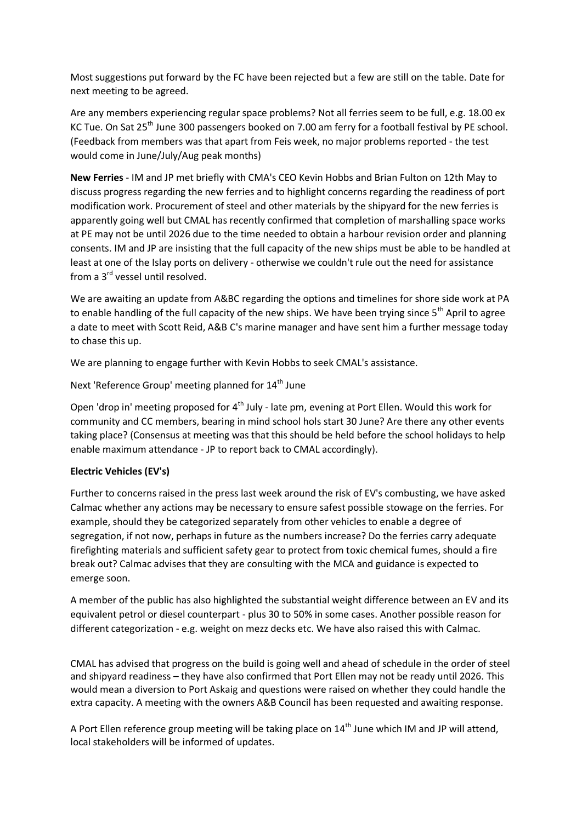Most suggestions put forward by the FC have been rejected but a few are still on the table. Date for next meeting to be agreed.

Are any members experiencing regular space problems? Not all ferries seem to be full, e.g. 18.00 ex KC Tue. On Sat 25<sup>th</sup> June 300 passengers booked on 7.00 am ferry for a football festival by PE school. (Feedback from members was that apart from Feis week, no major problems reported - the test would come in June/July/Aug peak months)

**New Ferries** - IM and JP met briefly with CMA's CEO Kevin Hobbs and Brian Fulton on 12th May to discuss progress regarding the new ferries and to highlight concerns regarding the readiness of port modification work. Procurement of steel and other materials by the shipyard for the new ferries is apparently going well but CMAL has recently confirmed that completion of marshalling space works at PE may not be until 2026 due to the time needed to obtain a harbour revision order and planning consents. IM and JP are insisting that the full capacity of the new ships must be able to be handled at least at one of the Islay ports on delivery - otherwise we couldn't rule out the need for assistance from a 3rd vessel until resolved.

We are awaiting an update from A&BC regarding the options and timelines for shore side work at PA to enable handling of the full capacity of the new ships. We have been trying since 5<sup>th</sup> April to agree a date to meet with Scott Reid, A&B C's marine manager and have sent him a further message today to chase this up.

We are planning to engage further with Kevin Hobbs to seek CMAL's assistance.

Next 'Reference Group' meeting planned for 14<sup>th</sup> June

Open 'drop in' meeting proposed for  $4<sup>th</sup>$  July - late pm, evening at Port Ellen. Would this work for community and CC members, bearing in mind school hols start 30 June? Are there any other events taking place? (Consensus at meeting was that this should be held before the school holidays to help enable maximum attendance - JP to report back to CMAL accordingly).

### **Electric Vehicles (EV's)**

Further to concerns raised in the press last week around the risk of EV's combusting, we have asked Calmac whether any actions may be necessary to ensure safest possible stowage on the ferries. For example, should they be categorized separately from other vehicles to enable a degree of segregation, if not now, perhaps in future as the numbers increase? Do the ferries carry adequate firefighting materials and sufficient safety gear to protect from toxic chemical fumes, should a fire break out? Calmac advises that they are consulting with the MCA and guidance is expected to emerge soon.

A member of the public has also highlighted the substantial weight difference between an EV and its equivalent petrol or diesel counterpart - plus 30 to 50% in some cases. Another possible reason for different categorization - e.g. weight on mezz decks etc. We have also raised this with Calmac.

CMAL has advised that progress on the build is going well and ahead of schedule in the order of steel and shipyard readiness – they have also confirmed that Port Ellen may not be ready until 2026. This would mean a diversion to Port Askaig and questions were raised on whether they could handle the extra capacity. A meeting with the owners A&B Council has been requested and awaiting response.

A Port Ellen reference group meeting will be taking place on  $14<sup>th</sup>$  June which IM and JP will attend, local stakeholders will be informed of updates.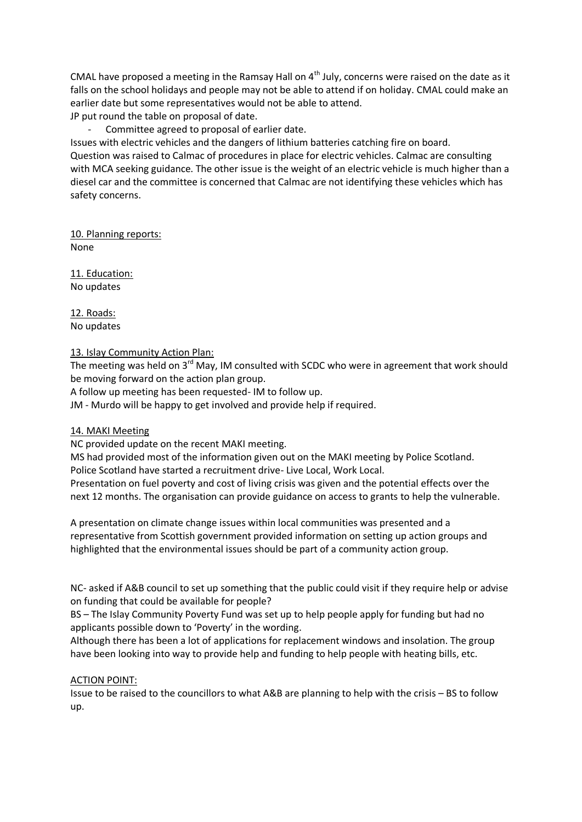CMAL have proposed a meeting in the Ramsay Hall on  $4<sup>th</sup>$  July, concerns were raised on the date as it falls on the school holidays and people may not be able to attend if on holiday. CMAL could make an earlier date but some representatives would not be able to attend.

- JP put round the table on proposal of date.
	- Committee agreed to proposal of earlier date.

Issues with electric vehicles and the dangers of lithium batteries catching fire on board. Question was raised to Calmac of procedures in place for electric vehicles. Calmac are consulting with MCA seeking guidance. The other issue is the weight of an electric vehicle is much higher than a diesel car and the committee is concerned that Calmac are not identifying these vehicles which has safety concerns.

10. Planning reports: None

11. Education: No updates

12. Roads: No updates

### 13. Islay Community Action Plan:

The meeting was held on  $3^{rd}$  May, IM consulted with SCDC who were in agreement that work should be moving forward on the action plan group.

A follow up meeting has been requested- IM to follow up.

JM - Murdo will be happy to get involved and provide help if required.

### 14. MAKI Meeting

NC provided update on the recent MAKI meeting.

MS had provided most of the information given out on the MAKI meeting by Police Scotland. Police Scotland have started a recruitment drive- Live Local, Work Local.

Presentation on fuel poverty and cost of living crisis was given and the potential effects over the next 12 months. The organisation can provide guidance on access to grants to help the vulnerable.

A presentation on climate change issues within local communities was presented and a representative from Scottish government provided information on setting up action groups and highlighted that the environmental issues should be part of a community action group.

NC- asked if A&B council to set up something that the public could visit if they require help or advise on funding that could be available for people?

BS – The Islay Community Poverty Fund was set up to help people apply for funding but had no applicants possible down to 'Poverty' in the wording.

Although there has been a lot of applications for replacement windows and insolation. The group have been looking into way to provide help and funding to help people with heating bills, etc.

### ACTION POINT:

Issue to be raised to the councillors to what A&B are planning to help with the crisis – BS to follow up.